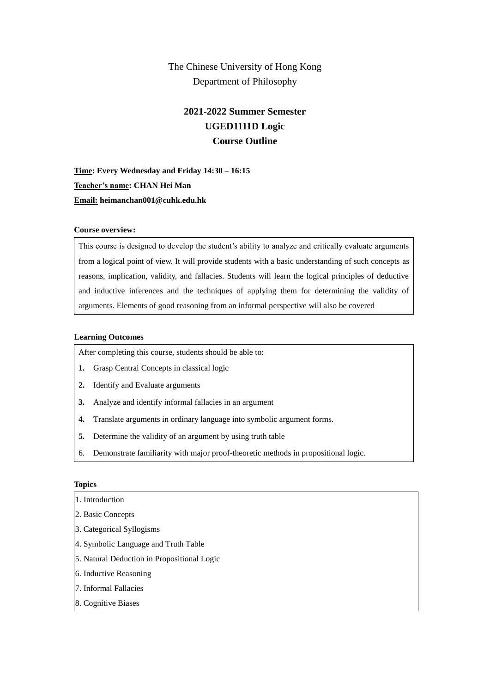## The Chinese University of Hong Kong Department of Philosophy

# **2021-2022 Summer Semester UGED1111D Logic Course Outline**

**Time: Every Wednesday and Friday 14:30 – 16:15 Teacher's name: CHAN Hei Man Email: heimanchan001@cuhk.edu.hk**

## **Course overview:**

This course is designed to develop the student's ability to analyze and critically evaluate arguments from a logical point of view. It will provide students with a basic understanding of such concepts as reasons, implication, validity, and fallacies. Students will learn the logical principles of deductive and inductive inferences and the techniques of applying them for determining the validity of arguments. Elements of good reasoning from an informal perspective will also be covered

#### **Learning Outcomes**

After completing this course, students should be able to:

- **1.** Grasp Central Concepts in classical logic
- **2.** Identify and Evaluate arguments
- **3.** Analyze and identify informal fallacies in an argument
- **4.** Translate arguments in ordinary language into symbolic argument forms.
- **5.** Determine the validity of an argument by using truth table
- 6. Demonstrate familiarity with major proof-theoretic methods in propositional logic.

#### **Topics**

- 1. Introduction
- 2. Basic Concepts
- 3. Categorical Syllogisms
- 4. Symbolic Language and Truth Table
- 5. Natural Deduction in Propositional Logic
- 6. Inductive Reasoning
- 7. Informal Fallacies
- 8. Cognitive Biases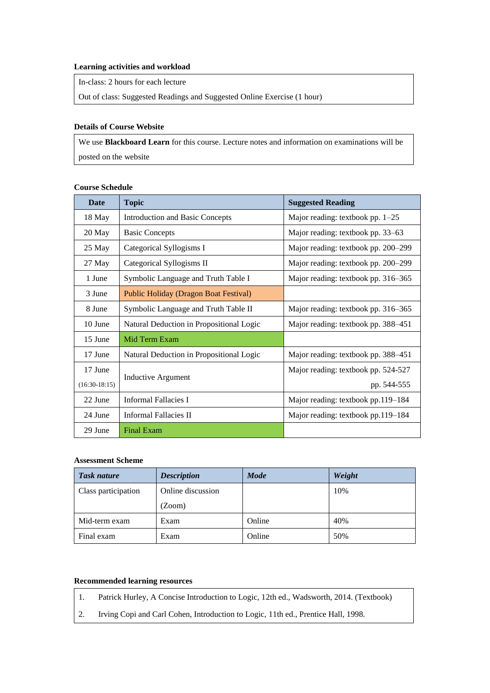#### **Learning activities and workload**

In-class: 2 hours for each lecture

Out of class: Suggested Readings and Suggested Online Exercise (1 hour)

#### **Details of Course Website**

We use **Blackboard Learn** for this course. Lecture notes and information on examinations will be posted on the website

| <b>Date</b>     | <b>Topic</b>                                 | <b>Suggested Reading</b>            |
|-----------------|----------------------------------------------|-------------------------------------|
| 18 May          | <b>Introduction and Basic Concepts</b>       | Major reading: textbook pp. $1-25$  |
| 20 May          | <b>Basic Concepts</b>                        | Major reading: textbook pp. 33–63   |
| 25 May          | Categorical Syllogisms I                     | Major reading: textbook pp. 200–299 |
| 27 May          | Categorical Syllogisms II                    | Major reading: textbook pp. 200–299 |
| 1 June          | Symbolic Language and Truth Table I          | Major reading: textbook pp. 316–365 |
| 3 June          | <b>Public Holiday (Dragon Boat Festival)</b> |                                     |
| 8 June          | Symbolic Language and Truth Table II         | Major reading: textbook pp. 316–365 |
| 10 June         | Natural Deduction in Propositional Logic     | Major reading: textbook pp. 388–451 |
| 15 June         | Mid Term Exam                                |                                     |
| 17 June         | Natural Deduction in Propositional Logic     | Major reading: textbook pp. 388–451 |
| 17 June         |                                              | Major reading: textbook pp. 524-527 |
| $(16:30-18:15)$ | <b>Inductive Argument</b>                    | pp. 544-555                         |
| 22 June         | Informal Fallacies I                         | Major reading: textbook pp.119-184  |
| 24 June         | Informal Fallacies II                        | Major reading: textbook pp.119-184  |
| 29 June         | <b>Final Exam</b>                            |                                     |

#### **Course Schedule**

## **Assessment Scheme**

| <b>Task nature</b>  | <b>Description</b> | <b>Mode</b> | Weight |
|---------------------|--------------------|-------------|--------|
| Class participation | Online discussion  |             | 10%    |
|                     | (Zoom)             |             |        |
| Mid-term exam       | Exam               | Online      | 40%    |
| Final exam          | Exam               | Online      | 50%    |

### **Recommended learning resources**

- 1. Patrick Hurley, A Concise Introduction to Logic, 12th ed., Wadsworth, 2014. (Textbook)
- 2. Irving Copi and Carl Cohen, Introduction to Logic, 11th ed., Prentice Hall, 1998.